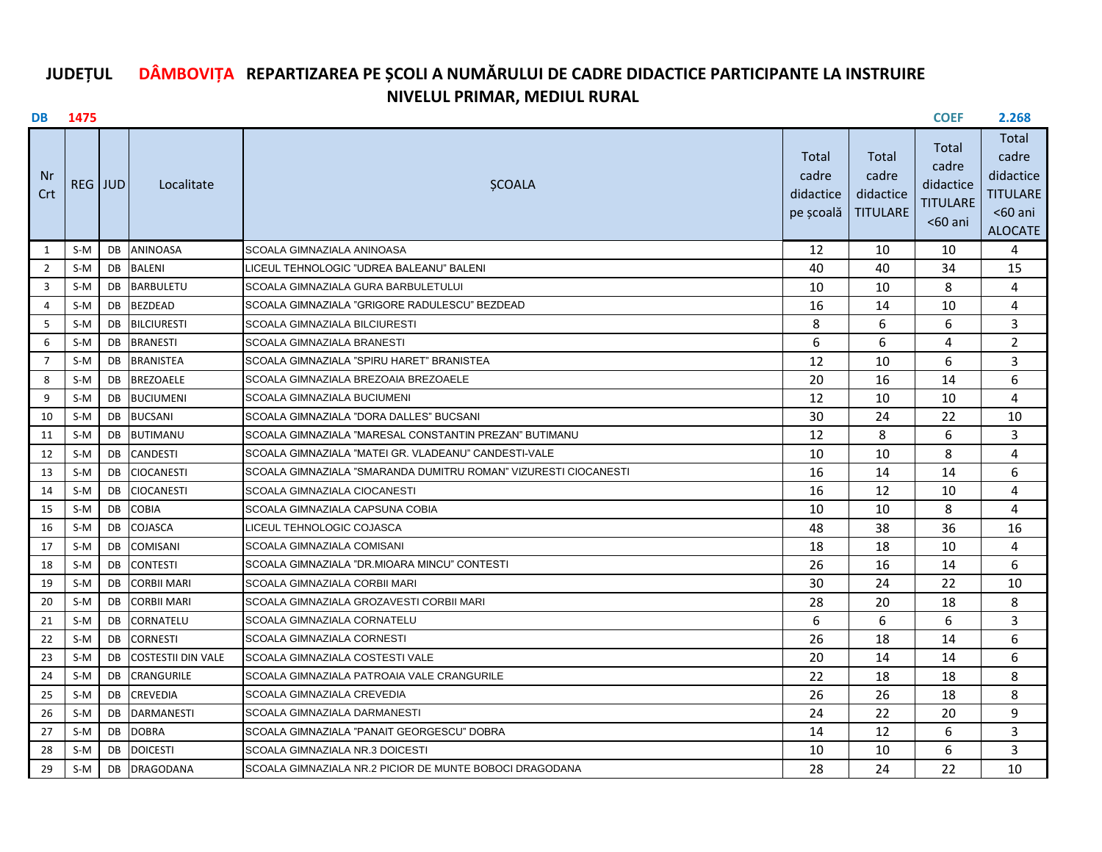## **DÂMBOVIȚA JUDEȚUL REPARTIZAREA PE ȘCOLI A NUMĂRULUI DE CADRE DIDACTICE PARTICIPANTE LA INSTRUIRENIVELUL PRIMAR, MEDIUL RURAL**

|                | <b>DB</b> 1475 |     |                           |                                                                 |                                          |                                                | <b>COEF</b>                                           | 2.268                                                                   |
|----------------|----------------|-----|---------------------------|-----------------------------------------------------------------|------------------------------------------|------------------------------------------------|-------------------------------------------------------|-------------------------------------------------------------------------|
| .Nr<br>Crt     | REG JUD        |     | Localitate                | <b>ŞCOALA</b>                                                   | Total<br>cadre<br>didactice<br>pe școală | Total<br>cadre<br>didactice<br><b>TITULARE</b> | Total<br>cadre<br>didactice<br>TITULARE<br>$<$ 60 ani | Total<br>cadre<br>didactice<br>TITULARE<br>$<$ 60 ani<br><b>ALOCATE</b> |
| 1              | S-M            |     | DB ANINOASA               | SCOALA GIMNAZIALA ANINOASA                                      | 12                                       | 10                                             | 10                                                    | 4                                                                       |
| $\overline{2}$ | S-M            |     | <b>DB</b> BALENI          | LICEUL TEHNOLOGIC "UDREA BALEANU" BALENI                        | 40                                       | 40                                             | 34                                                    | 15                                                                      |
| 3              | S-M            | DB. | <b>BARBULETU</b>          | SCOALA GIMNAZIALA GURA BARBULETULUI                             | 10                                       | 10                                             | 8                                                     | 4                                                                       |
| 4              | S-M            | DB  | <b>BEZDEAD</b>            | SCOALA GIMNAZIALA "GRIGORE RADULESCU" BEZDEAD                   | 16                                       | 14                                             | 10                                                    | 4                                                                       |
| 5              | $S-M$          | DB  | <b>BILCIURESTI</b>        | <b>SCOALA GIMNAZIALA BILCIURESTI</b>                            | 8                                        | 6                                              | 6                                                     | 3                                                                       |
| 6              | $S-M$          | DB  | <b>BRANESTI</b>           | <b>SCOALA GIMNAZIALA BRANESTI</b>                               | 6                                        | 6                                              | 4                                                     | $\overline{2}$                                                          |
| $\overline{7}$ | S-M            | DB  | <b>BRANISTEA</b>          | SCOALA GIMNAZIALA "SPIRU HARET" BRANISTEA                       | 12                                       | 10                                             | 6                                                     | 3                                                                       |
| 8              | S-M            |     | DB BREZOAELE              | SCOALA GIMNAZIALA BREZOAIA BREZOAELE                            | 20                                       | 16                                             | 14                                                    | 6                                                                       |
| 9              | S-M            | DB  | <b>BUCIUMENI</b>          | SCOALA GIMNAZIALA BUCIUMENI                                     | 12                                       | 10                                             | 10                                                    | 4                                                                       |
| 10             | $S-M$          | DB  | <b>BUCSANI</b>            | SCOALA GIMNAZIALA "DORA DALLES" BUCSANI                         | 30                                       | 24                                             | 22                                                    | 10                                                                      |
| 11             | $S-M$          | DB  | <b>BUTIMANU</b>           | SCOALA GIMNAZIALA "MARESAL CONSTANTIN PREZAN" BUTIMANU          | 12                                       | 8                                              | 6                                                     | 3                                                                       |
| 12             | $S-M$          | DB  | <b>CANDESTI</b>           | SCOALA GIMNAZIALA "MATEI GR. VLADEANU" CANDESTI-VALE            | 10                                       | 10                                             | 8                                                     | 4                                                                       |
| 13             | $S-M$          | DB  | <b>CIOCANESTI</b>         | SCOALA GIMNAZIALA "SMARANDA DUMITRU ROMAN" VIZURESTI CIOCANESTI | 16                                       | 14                                             | 14                                                    | 6                                                                       |
| 14             | $S-M$          | DB  | <b>CIOCANESTI</b>         | <b>SCOALA GIMNAZIALA CIOCANESTI</b>                             | 16                                       | 12                                             | 10                                                    | 4                                                                       |
| 15             | $S-M$          | DB  | <b>COBIA</b>              | SCOALA GIMNAZIALA CAPSUNA COBIA                                 | 10                                       | 10                                             | 8                                                     | 4                                                                       |
| 16             | S-M            | DB  | <b>COJASCA</b>            | LICEUL TEHNOLOGIC COJASCA                                       | 48                                       | 38                                             | 36                                                    | 16                                                                      |
| 17             | $S-M$          | DB  | <b>COMISANI</b>           | SCOALA GIMNAZIALA COMISANI                                      | 18                                       | 18                                             | 10                                                    | 4                                                                       |
| 18             | $S-M$          | DB  | <b>CONTESTI</b>           | SCOALA GIMNAZIALA "DR.MIOARA MINCU" CONTESTI                    | 26                                       | 16                                             | 14                                                    | 6                                                                       |
| 19             | S-M            | DB  | <b>CORBII MARI</b>        | SCOALA GIMNAZIALA CORBII MARI                                   | 30                                       | 24                                             | 22                                                    | 10                                                                      |
| 20             | $S-M$          | DB. | <b>CORBII MARI</b>        | SCOALA GIMNAZIALA GROZAVESTI CORBII MARI                        | 28                                       | 20                                             | 18                                                    | 8                                                                       |
| 21             | $S-M$          | DB  | <b>CORNATELU</b>          | SCOALA GIMNAZIALA CORNATELU                                     | 6                                        | 6                                              | 6                                                     | 3                                                                       |
| 22             | $S-M$          | DB  | <b>CORNESTI</b>           | <b>SCOALA GIMNAZIALA CORNESTI</b>                               | 26                                       | 18                                             | 14                                                    | 6                                                                       |
| 23             | $S-M$          | DB  | <b>COSTESTII DIN VALE</b> | SCOALA GIMNAZIALA COSTESTI VALE                                 | 20                                       | 14                                             | 14                                                    | 6                                                                       |
| 24             | $S-M$          | DB. | <b>CRANGURILE</b>         | SCOALA GIMNAZIALA PATROAIA VALE CRANGURILE                      | 22                                       | 18                                             | 18                                                    | 8                                                                       |
| 25             | S-M            | DB  | <b>CREVEDIA</b>           | SCOALA GIMNAZIALA CREVEDIA                                      | 26                                       | 26                                             | 18                                                    | 8                                                                       |
| 26             | S-M            | DB  | <b>DARMANESTI</b>         | SCOALA GIMNAZIALA DARMANESTI                                    | 24                                       | 22                                             | 20                                                    | 9                                                                       |
| 27             | S-M            | DB  | <b>DOBRA</b>              | SCOALA GIMNAZIALA "PANAIT GEORGESCU" DOBRA                      | 14                                       | 12                                             | 6                                                     | 3                                                                       |
| 28             | $S-M$          | DB  | <b>DOICESTI</b>           | SCOALA GIMNAZIALA NR.3 DOICESTI                                 | 10                                       | 10                                             | 6                                                     | 3                                                                       |
| 29             | S-M            | DB. | <b>DRAGODANA</b>          | SCOALA GIMNAZIALA NR.2 PICIOR DE MUNTE BOBOCI DRAGODANA         | 28                                       | 24                                             | 22                                                    | 10                                                                      |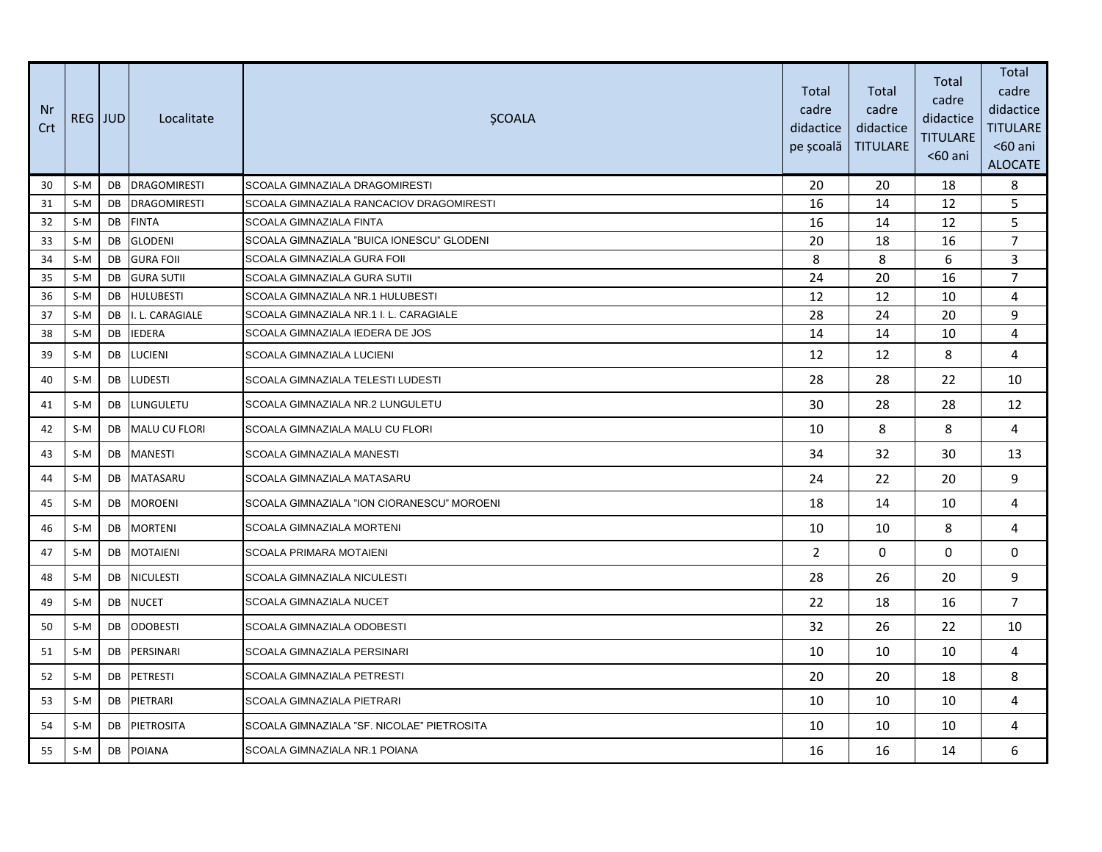| Nr<br>Crt | REG JUD |    | Localitate           | <b>SCOALA</b>                              | Total<br>cadre<br>didactice<br>pe școală | Total<br>cadre<br>didactice<br><b>TITULARE</b> | Total<br>cadre<br>didactice<br><b>TITULARE</b><br>$60$ ani | Total<br>cadre<br>didactice<br><b>TITULARE</b><br>$60$ ani<br><b>ALOCATE</b> |
|-----------|---------|----|----------------------|--------------------------------------------|------------------------------------------|------------------------------------------------|------------------------------------------------------------|------------------------------------------------------------------------------|
| 30        | $S-M$   | DB | <b>DRAGOMIRESTI</b>  | SCOALA GIMNAZIALA DRAGOMIRESTI             | 20                                       | 20                                             | 18                                                         | 8                                                                            |
| 31        | $S-M$   | DB | <b>DRAGOMIRESTI</b>  | SCOALA GIMNAZIALA RANCACIOV DRAGOMIRESTI   | 16                                       | 14                                             | 12                                                         | 5                                                                            |
| 32        | $S-M$   | DB | <b>FINTA</b>         | SCOALA GIMNAZIALA FINTA                    | 16                                       | 14                                             | 12                                                         | 5                                                                            |
| 33        | $S-M$   | DB | <b>GLODENI</b>       | SCOALA GIMNAZIALA "BUICA IONESCU" GLODENI  | 20                                       | 18                                             | 16                                                         | $\overline{7}$                                                               |
| 34        | $S-M$   | DB | <b>GURA FOIL</b>     | SCOALA GIMNAZIALA GURA FOII                | 8                                        | 8                                              | 6                                                          | 3                                                                            |
| 35        | $S-M$   | DB | <b>GURA SUTII</b>    | SCOALA GIMNAZIALA GURA SUTII               | 24                                       | 20                                             | 16                                                         | $\overline{7}$                                                               |
| 36        | $S-M$   | DB | <b>HULUBESTI</b>     | SCOALA GIMNAZIALA NR.1 HULUBESTI           | 12                                       | 12                                             | 10                                                         | 4                                                                            |
| 37        | $S-M$   | DB | I. L. CARAGIALE      | SCOALA GIMNAZIALA NR.1 I. L. CARAGIALE     | 28                                       | 24                                             | 20                                                         | 9<br>4                                                                       |
| 38        | $S-M$   | DB | <b>IEDERA</b>        | SCOALA GIMNAZIALA IEDERA DE JOS            | 14                                       | 14                                             | 10                                                         |                                                                              |
| 39        | S-M     | DB | <b>LUCIENI</b>       | SCOALA GIMNAZIALA LUCIENI                  | 12                                       | 12                                             | 8                                                          | 4                                                                            |
| 40        | S-M     | DB | <b>LUDESTI</b>       | SCOALA GIMNAZIALA TELESTI LUDESTI          | 28                                       | 28                                             | 22                                                         | 10                                                                           |
| 41        | $S-M$   | DB | LUNGULETU            | SCOALA GIMNAZIALA NR.2 LUNGULETU           | 30                                       | 28                                             | 28                                                         | 12                                                                           |
| 42        | $S-M$   | DB | <b>MALU CU FLORI</b> | SCOALA GIMNAZIALA MALU CU FLORI            | 10                                       | 8                                              | 8                                                          | 4                                                                            |
| 43        | $S-M$   | DB | <b>MANESTI</b>       | SCOALA GIMNAZIALA MANESTI                  | 34                                       | 32                                             | 30                                                         | 13                                                                           |
| 44        | $S-M$   | DB | <b>MATASARU</b>      | SCOALA GIMNAZIALA MATASARU                 | 24                                       | 22                                             | 20                                                         | 9                                                                            |
| 45        | $S-M$   | DB | <b>MOROENI</b>       | SCOALA GIMNAZIALA "ION CIORANESCU" MOROENI | 18                                       | 14                                             | 10                                                         | 4                                                                            |
| 46        | $S-M$   | DB | <b>MORTENI</b>       | SCOALA GIMNAZIALA MORTENI                  | 10                                       | 10                                             | 8                                                          | 4                                                                            |
| 47        | $S-M$   | DB | <b>MOTAIENI</b>      | <b>SCOALA PRIMARA MOTAIENI</b>             | $\overline{2}$                           | $\mathbf 0$                                    | $\Omega$                                                   | 0                                                                            |
| 48        | $S-M$   | DB | <b>NICULESTI</b>     | SCOALA GIMNAZIALA NICULESTI                | 28                                       | 26                                             | 20                                                         | 9                                                                            |
| 49        | $S-M$   | DB | <b>NUCET</b>         | SCOALA GIMNAZIALA NUCET                    | 22                                       | 18                                             | 16                                                         | $\overline{7}$                                                               |
| 50        | $S-M$   | DB | <b>ODOBESTI</b>      | SCOALA GIMNAZIALA ODOBESTI                 | 32                                       | 26                                             | 22                                                         | 10                                                                           |
| 51        | S-M     | DB | PERSINARI            | SCOALA GIMNAZIALA PERSINARI                | 10                                       | 10                                             | 10                                                         | 4                                                                            |
| 52        | $S-M$   | DB | PETRESTI             | SCOALA GIMNAZIALA PETRESTI                 | 20                                       | 20                                             | 18                                                         | 8                                                                            |
| 53        | $S-M$   | DB | PIETRARI             | <b>SCOALA GIMNAZIALA PIETRARI</b>          | 10                                       | 10                                             | 10                                                         | 4                                                                            |
| 54        | S-M     | DB | PIETROSITA           | SCOALA GIMNAZIALA "SF. NICOLAE" PIETROSITA | 10                                       | 10                                             | 10                                                         | 4                                                                            |
| 55        | $S-M$   | DB | <b>POIANA</b>        | SCOALA GIMNAZIALA NR.1 POIANA              | 16                                       | 16                                             | 14                                                         | 6                                                                            |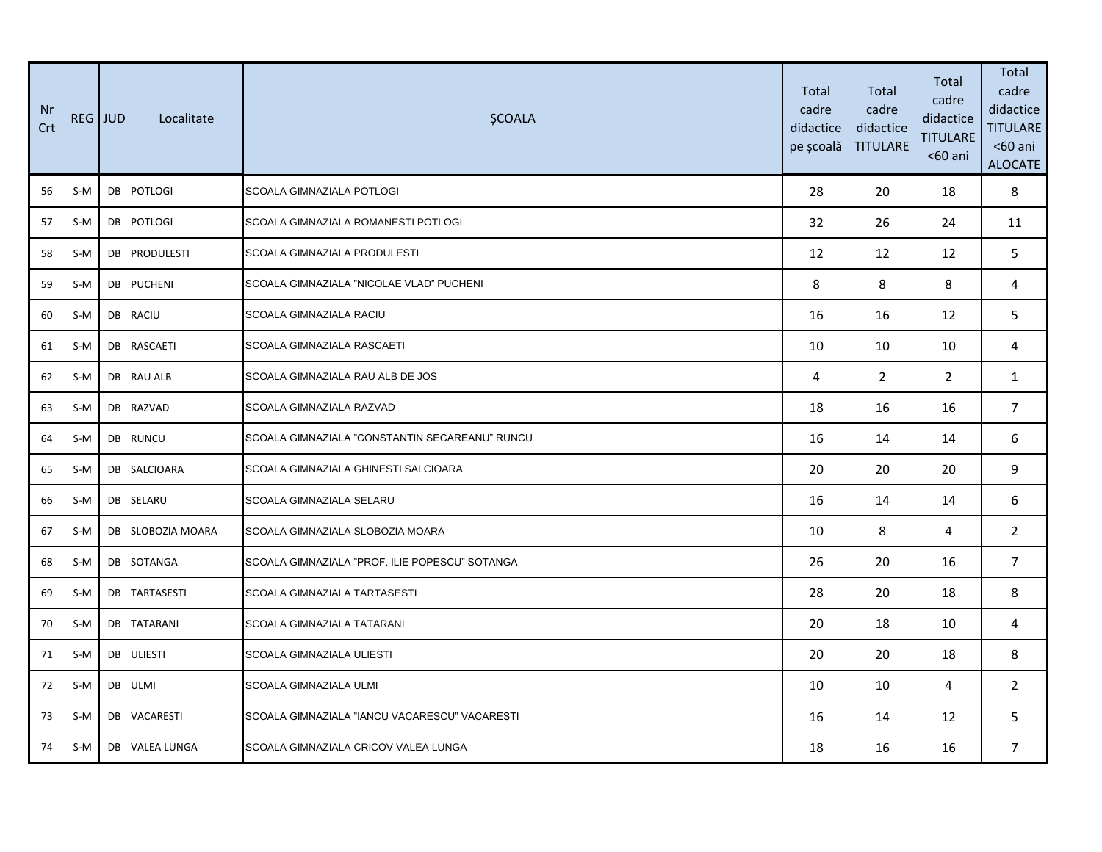| Nr<br>Crt | REG JUD |    | Localitate            | <b>ŞCOALA</b>                                  | Total<br>cadre<br>didactice<br>pe școală | Total<br>cadre<br>didactice<br><b>TITULARE</b> | Total<br>cadre<br>didactice<br><b>TITULARE</b><br>$60$ ani | Total<br>cadre<br>didactice<br><b>TITULARE</b><br>$60$ ani<br><b>ALOCATE</b> |
|-----------|---------|----|-----------------------|------------------------------------------------|------------------------------------------|------------------------------------------------|------------------------------------------------------------|------------------------------------------------------------------------------|
| 56        | $S-M$   | DB | <b>POTLOGI</b>        | <b>SCOALA GIMNAZIALA POTLOGI</b>               | 28                                       | 20                                             | 18                                                         | 8                                                                            |
| 57        | $S-M$   | DB | POTLOGI               | SCOALA GIMNAZIALA ROMANESTI POTLOGI            | 32                                       | 26                                             | 24                                                         | 11                                                                           |
| 58        | S-M     | DB | <b>PRODULESTI</b>     | SCOALA GIMNAZIALA PRODULESTI                   | 12                                       | 12                                             | 12                                                         | 5                                                                            |
| 59        | $S-M$   | DB | <b>PUCHENI</b>        | SCOALA GIMNAZIALA "NICOLAE VLAD" PUCHENI       | 8                                        | 8                                              | 8                                                          | 4                                                                            |
| 60        | $S-M$   | DB | RACIU                 | <b>SCOALA GIMNAZIALA RACIU</b>                 | 16                                       | 16                                             | 12                                                         | 5                                                                            |
| 61        | $S-M$   | DB | <b>RASCAETI</b>       | SCOALA GIMNAZIALA RASCAETI                     | 10                                       | 10                                             | 10                                                         | 4                                                                            |
| 62        | $S-M$   | DB | <b>RAU ALB</b>        | SCOALA GIMNAZIALA RAU ALB DE JOS               | 4                                        | $\overline{2}$                                 | $\overline{2}$                                             | $\mathbf{1}$                                                                 |
| 63        | $S-M$   |    | DB RAZVAD             | SCOALA GIMNAZIALA RAZVAD                       | 18                                       | 16                                             | 16                                                         | $\overline{7}$                                                               |
| 64        | $S-M$   | DB | <b>RUNCU</b>          | SCOALA GIMNAZIALA "CONSTANTIN SECAREANU" RUNCU | 16                                       | 14                                             | 14                                                         | 6                                                                            |
| 65        | S-M     | DB | <b>SALCIOARA</b>      | SCOALA GIMNAZIALA GHINESTI SALCIOARA           | 20                                       | 20                                             | 20                                                         | 9                                                                            |
| 66        | S-M     |    | DB SELARU             | SCOALA GIMNAZIALA SELARU                       | 16                                       | 14                                             | 14                                                         | 6                                                                            |
| 67        | $S-M$   | DB | <b>SLOBOZIA MOARA</b> | SCOALA GIMNAZIALA SLOBOZIA MOARA               | 10                                       | 8                                              | 4                                                          | $\overline{2}$                                                               |
| 68        | S-M     | DB | SOTANGA               | SCOALA GIMNAZIALA "PROF. ILIE POPESCU" SOTANGA | 26                                       | 20                                             | 16                                                         | $7^{\circ}$                                                                  |
| 69        | S-M     | DB | <b>TARTASESTI</b>     | SCOALA GIMNAZIALA TARTASESTI                   | 28                                       | 20                                             | 18                                                         | 8                                                                            |
| 70        | $S-M$   | DB | <b>TATARANI</b>       | SCOALA GIMNAZIALA TATARANI                     | 20                                       | 18                                             | 10                                                         | 4                                                                            |
| 71        | $S-M$   | DB | <b>ULIESTI</b>        | SCOALA GIMNAZIALA ULIESTI                      | 20                                       | 20                                             | 18                                                         | 8                                                                            |
| 72        | S-M     | DB | <b>ULMI</b>           | SCOALA GIMNAZIALA ULMI                         | 10                                       | 10                                             | 4                                                          | $\mathbf{2}$                                                                 |
| 73        | $S-M$   | DB | <b>VACARESTI</b>      | SCOALA GIMNAZIALA "IANCU VACARESCU" VACARESTI  | 16                                       | 14                                             | 12                                                         | 5                                                                            |
| 74        | S-M     | DB | <b>VALEA LUNGA</b>    | SCOALA GIMNAZIALA CRICOV VALEA LUNGA           | 18                                       | 16                                             | 16                                                         | $7^{\circ}$                                                                  |